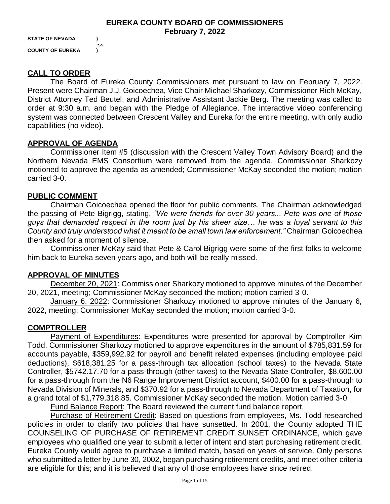**STATE OF NEVADA ) COUNTY OF EUREKA )**

**:ss**

# **CALL TO ORDER**

The Board of Eureka County Commissioners met pursuant to law on February 7, 2022. Present were Chairman J.J. Goicoechea, Vice Chair Michael Sharkozy, Commissioner Rich McKay, District Attorney Ted Beutel, and Administrative Assistant Jackie Berg. The meeting was called to order at 9:30 a.m. and began with the Pledge of Allegiance. The interactive video conferencing system was connected between Crescent Valley and Eureka for the entire meeting, with only audio capabilities (no video).

# **APPROVAL OF AGENDA**

Commissioner Item #5 (discussion with the Crescent Valley Town Advisory Board) and the Northern Nevada EMS Consortium were removed from the agenda. Commissioner Sharkozy motioned to approve the agenda as amended; Commissioner McKay seconded the motion; motion carried 3-0.

#### **PUBLIC COMMENT**

Chairman Goicoechea opened the floor for public comments. The Chairman acknowledged the passing of Pete Bigrigg, stating, *"We were friends for over 30 years... Pete was one of those guys that demanded respect in the room just by his sheer size… he was a loyal servant to this County and truly understood what it meant to be small town law enforcement."* Chairman Goicoechea then asked for a moment of silence.

Commissioner McKay said that Pete & Carol Bigrigg were some of the first folks to welcome him back to Eureka seven years ago, and both will be really missed.

#### **APPROVAL OF MINUTES**

December 20, 2021: Commissioner Sharkozy motioned to approve minutes of the December 20, 2021, meeting; Commissioner McKay seconded the motion; motion carried 3-0.

January 6, 2022: Commissioner Sharkozy motioned to approve minutes of the January 6, 2022, meeting; Commissioner McKay seconded the motion; motion carried 3-0.

#### **COMPTROLLER**

Payment of Expenditures: Expenditures were presented for approval by Comptroller Kim Todd. Commissioner Sharkozy motioned to approve expenditures in the amount of \$785,831.59 for accounts payable, \$359,992.92 for payroll and benefit related expenses (including employee paid deductions), \$618,381.25 for a pass-through tax allocation (school taxes) to the Nevada State Controller, \$5742.17.70 for a pass-through (other taxes) to the Nevada State Controller, \$8,600.00 for a pass-through from the N6 Range Improvement District account, \$400.00 for a pass-through to Nevada Division of Minerals, and \$370.92 for a pass-through to Nevada Department of Taxation, for a grand total of \$1,779,318.85. Commissioner McKay seconded the motion. Motion carried 3-0

Fund Balance Report: The Board reviewed the current fund balance report.

Purchase of Retirement Credit: Based on questions from employees, Ms. Todd researched policies in order to clarify two policies that have sunsetted. In 2001, the County adopted THE COUNSELING OF PURCHASE OF RETIREMENT CREDIT SUNSET ORDINANCE, which gave employees who qualified one year to submit a letter of intent and start purchasing retirement credit. Eureka County would agree to purchase a limited match, based on years of service. Only persons who submitted a letter by June 30, 2002, began purchasing retirement credits, and meet other criteria are eligible for this; and it is believed that any of those employees have since retired.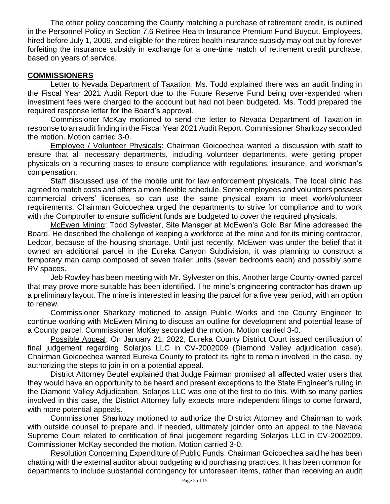The other policy concerning the County matching a purchase of retirement credit, is outlined in the Personnel Policy in Section 7.6 Retiree Health Insurance Premium Fund Buyout. Employees, hired before July 1, 2009, and eligible for the retiree health insurance subsidy may opt out by forever forfeiting the insurance subsidy in exchange for a one-time match of retirement credit purchase, based on years of service.

#### **COMMISSIONERS**

Letter to Nevada Department of Taxation: Ms. Todd explained there was an audit finding in the Fiscal Year 2021 Audit Report due to the Future Reserve Fund being over-expended when investment fees were charged to the account but had not been budgeted. Ms. Todd prepared the required response letter for the Board's approval.

Commissioner McKay motioned to send the letter to Nevada Department of Taxation in response to an audit finding in the Fiscal Year 2021 Audit Report. Commissioner Sharkozy seconded the motion. Motion carried 3-0.

Employee / Volunteer Physicals: Chairman Goicoechea wanted a discussion with staff to ensure that all necessary departments, including volunteer departments, were getting proper physicals on a recurring bases to ensure compliance with regulations, insurance, and workman's compensation.

Staff discussed use of the mobile unit for law enforcement physicals. The local clinic has agreed to match costs and offers a more flexible schedule. Some employees and volunteers possess commercial drivers' licenses, so can use the same physical exam to meet work/volunteer requirements. Chairman Goicoechea urged the departments to strive for compliance and to work with the Comptroller to ensure sufficient funds are budgeted to cover the required physicals.

McEwen Mining: Todd Sylvester, Site Manager at McEwen's Gold Bar Mine addressed the Board. He described the challenge of keeping a workforce at the mine and for its mining contractor, Ledcor, because of the housing shortage. Until just recently, McEwen was under the belief that it owned an additional parcel in the Eureka Canyon Subdivision, it was planning to construct a temporary man camp composed of seven trailer units (seven bedrooms each) and possibly some RV spaces.

Jeb Rowley has been meeting with Mr. Sylvester on this. Another large County-owned parcel that may prove more suitable has been identified. The mine's engineering contractor has drawn up a preliminary layout. The mine is interested in leasing the parcel for a five year period, with an option to renew.

Commissioner Sharkozy motioned to assign Public Works and the County Engineer to continue working with McEwen Mining to discuss an outline for development and potential lease of a County parcel. Commissioner McKay seconded the motion. Motion carried 3-0.

Possible Appeal: On January 21, 2022, Eureka County District Court issued certification of final judgement regarding Solarjos LLC in CV-2002009 (Diamond Valley adjudication case). Chairman Goicoechea wanted Eureka County to protect its right to remain involved in the case, by authorizing the steps to join in on a potential appeal.

District Attorney Beutel explained that Judge Fairman promised all affected water users that they would have an opportunity to be heard and present exceptions to the State Engineer's ruling in the Diamond Valley Adjudication. Solarjos LLC was one of the first to do this. With so many parties involved in this case, the District Attorney fully expects more independent filings to come forward, with more potential appeals.

Commissioner Sharkozy motioned to authorize the District Attorney and Chairman to work with outside counsel to prepare and, if needed, ultimately joinder onto an appeal to the Nevada Supreme Court related to certification of final judgement regarding Solarjos LLC in CV-2002009. Commissioner McKay seconded the motion. Motion carried 3-0.

Resolution Concerning Expenditure of Public Funds: Chairman Goicoechea said he has been chatting with the external auditor about budgeting and purchasing practices. It has been common for departments to include substantial contingency for unforeseen items, rather than receiving an audit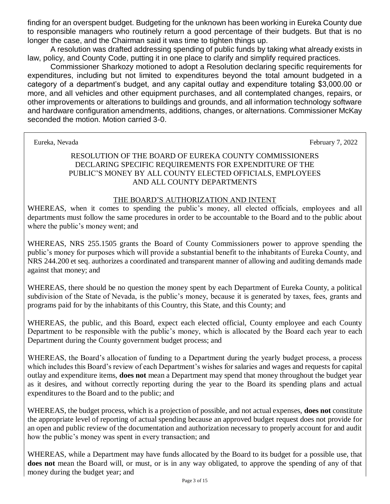finding for an overspent budget. Budgeting for the unknown has been working in Eureka County due to responsible managers who routinely return a good percentage of their budgets. But that is no longer the case, and the Chairman said it was time to tighten things up.

A resolution was drafted addressing spending of public funds by taking what already exists in law, policy, and County Code, putting it in one place to clarify and simplify required practices.

Commissioner Sharkozy motioned to adopt a Resolution declaring specific requirements for expenditures, including but not limited to expenditures beyond the total amount budgeted in a category of a department's budget, and any capital outlay and expenditure totaling \$3,000.00 or more, and all vehicles and other equipment purchases, and all contemplated changes, repairs, or other improvements or alterations to buildings and grounds, and all information technology software and hardware configuration amendments, additions, changes, or alternations. Commissioner McKay seconded the motion. Motion carried 3-0.

Eureka, Nevada February 7, 2022

#### RESOLUTION OF THE BOARD OF EUREKA COUNTY COMMISSIONERS DECLARING SPECIFIC REQUIREMENTS FOR EXPENDITURE OF THE PUBLIC'S MONEY BY ALL COUNTY ELECTED OFFICIALS, EMPLOYEES AND ALL COUNTY DEPARTMENTS

#### THE BOARD'S AUTHORIZATION AND INTENT

WHEREAS, when it comes to spending the public's money, all elected officials, employees and all departments must follow the same procedures in order to be accountable to the Board and to the public about where the public's money went; and

WHEREAS, NRS 255.1505 grants the Board of County Commissioners power to approve spending the public's money for purposes which will provide a substantial benefit to the inhabitants of Eureka County, and NRS 244.200 et seq. authorizes a coordinated and transparent manner of allowing and auditing demands made against that money; and

WHEREAS, there should be no question the money spent by each Department of Eureka County, a political subdivision of the State of Nevada, is the public's money, because it is generated by taxes, fees, grants and programs paid for by the inhabitants of this Country, this State, and this County; and

WHEREAS, the public, and this Board, expect each elected official, County employee and each County Department to be responsible with the public's money, which is allocated by the Board each year to each Department during the County government budget process; and

WHEREAS, the Board's allocation of funding to a Department during the yearly budget process, a process which includes this Board's review of each Department's wishes for salaries and wages and requests for capital outlay and expenditure items, **does not** mean a Department may spend that money throughout the budget year as it desires, and without correctly reporting during the year to the Board its spending plans and actual expenditures to the Board and to the public; and

WHEREAS, the budget process, which is a projection of possible, and not actual expenses, **does not** constitute the appropriate level of reporting of actual spending because an approved budget request does not provide for an open and public review of the documentation and authorization necessary to properly account for and audit how the public's money was spent in every transaction; and

WHEREAS, while a Department may have funds allocated by the Board to its budget for a possible use, that does not mean the Board will, or must, or is in any way obligated, to approve the spending of any of that money during the budget year; and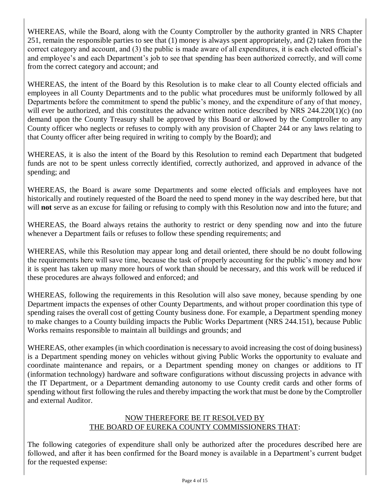WHEREAS, while the Board, along with the County Comptroller by the authority granted in NRS Chapter 251, remain the responsible parties to see that (1) money is always spent appropriately, and (2) taken from the correct category and account, and (3) the public is made aware of all expenditures, it is each elected official's and employee's and each Department's job to see that spending has been authorized correctly, and will come from the correct category and account; and

WHEREAS, the intent of the Board by this Resolution is to make clear to all County elected officials and employees in all County Departments and to the public what procedures must be uniformly followed by all Departments before the commitment to spend the public's money, and the expenditure of any of that money, will ever be authorized, and this constitutes the advance written notice described by NRS 244.220(1)(c) (no demand upon the County Treasury shall be approved by this Board or allowed by the Comptroller to any County officer who neglects or refuses to comply with any provision of Chapter 244 or any laws relating to that County officer after being required in writing to comply by the Board); and

WHEREAS, it is also the intent of the Board by this Resolution to remind each Department that budgeted funds are not to be spent unless correctly identified, correctly authorized, and approved in advance of the spending; and

WHEREAS, the Board is aware some Departments and some elected officials and employees have not historically and routinely requested of the Board the need to spend money in the way described here, but that will **not** serve as an excuse for failing or refusing to comply with this Resolution now and into the future; and

WHEREAS, the Board always retains the authority to restrict or deny spending now and into the future whenever a Department fails or refuses to follow these spending requirements; and

WHEREAS, while this Resolution may appear long and detail oriented, there should be no doubt following the requirements here will save time, because the task of properly accounting for the public's money and how it is spent has taken up many more hours of work than should be necessary, and this work will be reduced if these procedures are always followed and enforced; and

WHEREAS, following the requirements in this Resolution will also save money, because spending by one Department impacts the expenses of other County Departments, and without proper coordination this type of spending raises the overall cost of getting County business done. For example, a Department spending money to make changes to a County building impacts the Public Works Department (NRS 244.151), because Public Works remains responsible to maintain all buildings and grounds; and

WHEREAS, other examples (in which coordination is necessary to avoid increasing the cost of doing business) is a Department spending money on vehicles without giving Public Works the opportunity to evaluate and coordinate maintenance and repairs, or a Department spending money on changes or additions to IT (information technology) hardware and software configurations without discussing projects in advance with the IT Department, or a Department demanding autonomy to use County credit cards and other forms of spending without first following the rules and thereby impacting the work that must be done by the Comptroller and external Auditor.

# NOW THEREFORE BE IT RESOLVED BY THE BOARD OF EUREKA COUNTY COMMISSIONERS THAT:

The following categories of expenditure shall only be authorized after the procedures described here are followed, and after it has been confirmed for the Board money is available in a Department's current budget for the requested expense: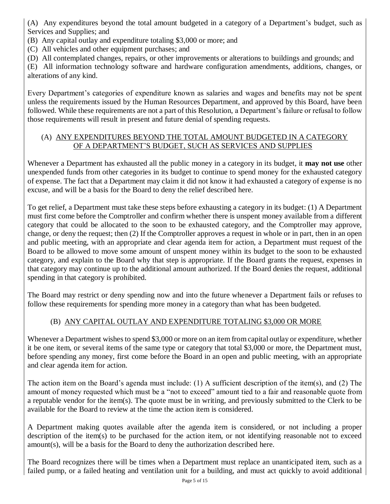(A) Any expenditures beyond the total amount budgeted in a category of a Department's budget, such as Services and Supplies; and

(B) Any capital outlay and expenditure totaling \$3,000 or more; and

(C) All vehicles and other equipment purchases; and

(D) All contemplated changes, repairs, or other improvements or alterations to buildings and grounds; and

(E) All information technology software and hardware configuration amendments, additions, changes, or alterations of any kind.

Every Department's categories of expenditure known as salaries and wages and benefits may not be spent unless the requirements issued by the Human Resources Department, and approved by this Board, have been followed. While these requirements are not a part of this Resolution, a Department's failure or refusal to follow those requirements will result in present and future denial of spending requests.

# (A) ANY EXPENDITURES BEYOND THE TOTAL AMOUNT BUDGETED IN A CATEGORY OF A DEPARTMENT'S BUDGET, SUCH AS SERVICES AND SUPPLIES

Whenever a Department has exhausted all the public money in a category in its budget, it **may not use** other unexpended funds from other categories in its budget to continue to spend money for the exhausted category of expense. The fact that a Department may claim it did not know it had exhausted a category of expense is no excuse, and will be a basis for the Board to deny the relief described here.

To get relief, a Department must take these steps before exhausting a category in its budget: (1) A Department must first come before the Comptroller and confirm whether there is unspent money available from a different category that could be allocated to the soon to be exhausted category, and the Comptroller may approve, change, or deny the request; then (2) If the Comptroller approves a request in whole or in part, then in an open and public meeting, with an appropriate and clear agenda item for action, a Department must request of the Board to be allowed to move some amount of unspent money within its budget to the soon to be exhausted category, and explain to the Board why that step is appropriate. If the Board grants the request, expenses in that category may continue up to the additional amount authorized. If the Board denies the request, additional spending in that category is prohibited.

The Board may restrict or deny spending now and into the future whenever a Department fails or refuses to follow these requirements for spending more money in a category than what has been budgeted.

# (B) ANY CAPITAL OUTLAY AND EXPENDITURE TOTALING \$3,000 OR MORE

Whenever a Department wishes to spend \$3,000 or more on an item from capital outlay or expenditure, whether it be one item, or several items of the same type or category that total \$3,000 or more, the Department must, before spending any money, first come before the Board in an open and public meeting, with an appropriate and clear agenda item for action.

The action item on the Board's agenda must include: (1) A sufficient description of the item(s), and (2) The amount of money requested which must be a "not to exceed" amount tied to a fair and reasonable quote from a reputable vendor for the item(s). The quote must be in writing, and previously submitted to the Clerk to be available for the Board to review at the time the action item is considered.

A Department making quotes available after the agenda item is considered, or not including a proper description of the item(s) to be purchased for the action item, or not identifying reasonable not to exceed amount(s), will be a basis for the Board to deny the authorization described here.

The Board recognizes there will be times when a Department must replace an unanticipated item, such as a failed pump, or a failed heating and ventilation unit for a building, and must act quickly to avoid additional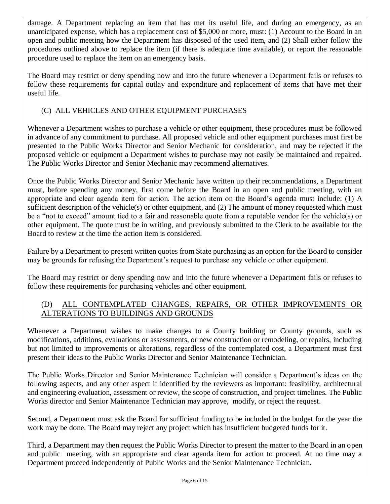damage. A Department replacing an item that has met its useful life, and during an emergency, as an unanticipated expense, which has a replacement cost of \$5,000 or more, must: (1) Account to the Board in an open and public meeting how the Department has disposed of the used item, and (2) Shall either follow the procedures outlined above to replace the item (if there is adequate time available), or report the reasonable procedure used to replace the item on an emergency basis.

The Board may restrict or deny spending now and into the future whenever a Department fails or refuses to follow these requirements for capital outlay and expenditure and replacement of items that have met their useful life.

# (C) ALL VEHICLES AND OTHER EQUIPMENT PURCHASES

Whenever a Department wishes to purchase a vehicle or other equipment, these procedures must be followed in advance of any commitment to purchase. All proposed vehicle and other equipment purchases must first be presented to the Public Works Director and Senior Mechanic for consideration, and may be rejected if the proposed vehicle or equipment a Department wishes to purchase may not easily be maintained and repaired. The Public Works Director and Senior Mechanic may recommend alternatives.

Once the Public Works Director and Senior Mechanic have written up their recommendations, a Department must, before spending any money, first come before the Board in an open and public meeting, with an appropriate and clear agenda item for action. The action item on the Board's agenda must include: (1) A sufficient description of the vehicle(s) or other equipment, and (2) The amount of money requested which must be a "not to exceed" amount tied to a fair and reasonable quote from a reputable vendor for the vehicle(s) or other equipment. The quote must be in writing, and previously submitted to the Clerk to be available for the Board to review at the time the action item is considered.

Failure by a Department to present written quotes from State purchasing as an option for the Board to consider may be grounds for refusing the Department's request to purchase any vehicle or other equipment.

The Board may restrict or deny spending now and into the future whenever a Department fails or refuses to follow these requirements for purchasing vehicles and other equipment.

# (D) ALL CONTEMPLATED CHANGES, REPAIRS, OR OTHER IMPROVEMENTS OR ALTERATIONS TO BUILDINGS AND GROUNDS

Whenever a Department wishes to make changes to a County building or County grounds, such as modifications, additions, evaluations or assessments, or new construction or remodeling, or repairs, including but not limited to improvements or alterations, regardless of the contemplated cost, a Department must first present their ideas to the Public Works Director and Senior Maintenance Technician.

The Public Works Director and Senior Maintenance Technician will consider a Department's ideas on the following aspects, and any other aspect if identified by the reviewers as important: feasibility, architectural and engineering evaluation, assessment or review, the scope of construction, and project timelines. The Public Works director and Senior Maintenance Technician may approve, modify, or reject the request.

Second, a Department must ask the Board for sufficient funding to be included in the budget for the year the work may be done. The Board may reject any project which has insufficient budgeted funds for it.

Third, a Department may then request the Public Works Director to present the matter to the Board in an open and public meeting, with an appropriate and clear agenda item for action to proceed. At no time may a Department proceed independently of Public Works and the Senior Maintenance Technician.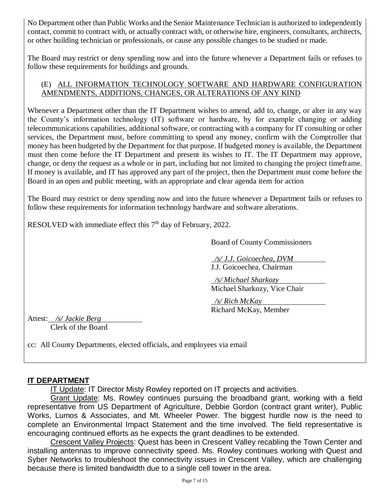No Department other than Public Works and the Senior Maintenance Technician is authorized to independently contact, commit to contract with, or actually contract with, or otherwise hire, engineers, consultants, architects, or other building technician or professionals, or cause any possible changes to be studied or made.

The Board may restrict or deny spending now and into the future whenever a Department fails or refuses to follow these requirements for buildings and grounds.

#### (E) ALL INFORMATION TECHNOLOGY SOFTWARE AND HARDWARE CONFIGURATION AMENDMENTS, ADDITIONS, CHANGES, OR ALTERATIONS OF ANY KIND

Whenever a Department other than the IT Department wishes to amend, add to, change, or alter in any way the County's information technology (IT) software or hardware, by for example changing or adding telecommunications capabilities, additional software, or contracting with a company for IT consulting or other services, the Department must, before committing to spend any money, confirm with the Comptroller that money has been budgeted by the Department for that purpose. If budgeted money is available, the Department must then come before the IT Department and present its wishes to IT. The IT Department may approve, change, or deny the request as a whole or in part, including but not limited to changing the project timeframe. If money is available, and IT has approved any part of the project, then the Department must come before the Board in an open and public meeting, with an appropriate and clear agenda item for action

The Board may restrict or deny spending now and into the future whenever a Department fails or refuses to follow these requirements for information technology hardware and software alterations.

RESOLVED with immediate effect this  $7<sup>th</sup>$  day of February, 2022.

Board of County Commissioners

 */s/ J.J. Goicoechea, DVM* J.J. Goicoechea, Chairman

 */s/ Michael Sharkozy* Michael Sharkozy, Vice Chair

 */s/ Rich McKay* Richard McKay, Member

Attest: */s/ Jackie Berg* Clerk of the Board

# cc: All County Departments, elected officials, and employees via email

# **IT DEPARTMENT**

IT Update: IT Director Misty Rowley reported on IT projects and activities.

Grant Update: Ms. Rowley continues pursuing the broadband grant, working with a field representative from US Department of Agriculture, Debbie Gordon (contract grant writer), Public Works, Lumos & Associates, and Mt. Wheeler Power. The biggest hurdle now is the need to complete an Environmental Impact Statement and the time involved. The field representative is encouraging continued efforts as he expects the grant deadlines to be extended.

Crescent Valley Projects: Quest has been in Crescent Valley recabling the Town Center and installing antennas to improve connectivity speed. Ms. Rowley continues working with Quest and Syber Networks to troubleshoot the connectivity issues in Crescent Valley, which are challenging because there is limited bandwidth due to a single cell tower in the area.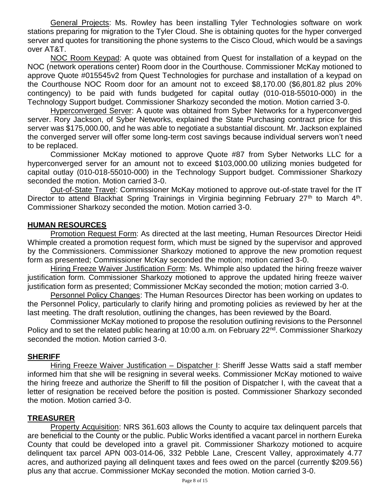General Projects: Ms. Rowley has been installing Tyler Technologies software on work stations preparing for migration to the Tyler Cloud. She is obtaining quotes for the hyper converged server and quotes for transitioning the phone systems to the Cisco Cloud, which would be a savings over AT&T.

NOC Room Keypad: A quote was obtained from Quest for installation of a keypad on the NOC (network operations center) Room door in the Courthouse. Commissioner McKay motioned to approve Quote #015545v2 from Quest Technologies for purchase and installation of a keypad on the Courthouse NOC Room door for an amount not to exceed \$8,170.00 (\$6,801.82 plus 20% contingency) to be paid with funds budgeted for capital outlay (010-018-55010-000) in the Technology Support budget. Commissioner Sharkozy seconded the motion. Motion carried 3-0.

Hyperconverged Server: A quote was obtained from Syber Networks for a hyperconverged server. Rory Jackson, of Syber Networks, explained the State Purchasing contract price for this server was \$175,000.00, and he was able to negotiate a substantial discount. Mr. Jackson explained the converged server will offer some long-term cost savings because individual servers won't need to be replaced.

Commissioner McKay motioned to approve Quote #87 from Syber Networks LLC for a hyperconverged server for an amount not to exceed \$103,000.00 utilizing monies budgeted for capital outlay (010-018-55010-000) in the Technology Support budget. Commissioner Sharkozy seconded the motion. Motion carried 3-0.

Out-of-State Travel: Commissioner McKay motioned to approve out-of-state travel for the IT Director to attend Blackhat Spring Trainings in Virginia beginning February 27<sup>th</sup> to March 4<sup>th</sup>. Commissioner Sharkozy seconded the motion. Motion carried 3-0.

#### **HUMAN RESOURCES**

Promotion Request Form: As directed at the last meeting, Human Resources Director Heidi Whimple created a promotion request form, which must be signed by the supervisor and approved by the Commissioners. Commissioner Sharkozy motioned to approve the new promotion request form as presented; Commissioner McKay seconded the motion; motion carried 3-0.

Hiring Freeze Waiver Justification Form: Ms. Whimple also updated the hiring freeze waiver justification form. Commissioner Sharkozy motioned to approve the updated hiring freeze waiver justification form as presented; Commissioner McKay seconded the motion; motion carried 3-0.

Personnel Policy Changes: The Human Resources Director has been working on updates to the Personnel Policy, particularly to clarify hiring and promoting policies as reviewed by her at the last meeting. The draft resolution, outlining the changes, has been reviewed by the Board.

Commissioner McKay motioned to propose the resolution outlining revisions to the Personnel Policy and to set the related public hearing at 10:00 a.m. on February 22<sup>nd</sup>. Commissioner Sharkozy seconded the motion. Motion carried 3-0.

#### **SHERIFF**

Hiring Freeze Waiver Justification – Dispatcher I: Sheriff Jesse Watts said a staff member informed him that she will be resigning in several weeks. Commissioner McKay motioned to waive the hiring freeze and authorize the Sheriff to fill the position of Dispatcher I, with the caveat that a letter of resignation be received before the position is posted. Commissioner Sharkozy seconded the motion. Motion carried 3-0.

#### **TREASURER**

Property Acquisition: NRS 361.603 allows the County to acquire tax delinquent parcels that are beneficial to the County or the public. Public Works identified a vacant parcel in northern Eureka County that could be developed into a gravel pit. Commissioner Sharkozy motioned to acquire delinquent tax parcel APN 003-014-06, 332 Pebble Lane, Crescent Valley, approximately 4.77 acres, and authorized paying all delinquent taxes and fees owed on the parcel (currently \$209.56) plus any that accrue. Commissioner McKay seconded the motion. Motion carried 3-0.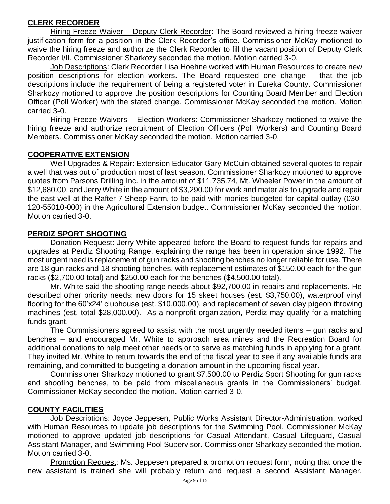# **CLERK RECORDER**

Hiring Freeze Waiver – Deputy Clerk Recorder: The Board reviewed a hiring freeze waiver justification form for a position in the Clerk Recorder's office. Commissioner McKay motioned to waive the hiring freeze and authorize the Clerk Recorder to fill the vacant position of Deputy Clerk Recorder I/II. Commissioner Sharkozy seconded the motion. Motion carried 3-0.

Job Descriptions: Clerk Recorder Lisa Hoehne worked with Human Resources to create new position descriptions for election workers. The Board requested one change – that the job descriptions include the requirement of being a registered voter in Eureka County. Commissioner Sharkozy motioned to approve the position descriptions for Counting Board Member and Election Officer (Poll Worker) with the stated change. Commissioner McKay seconded the motion. Motion carried 3-0.

Hiring Freeze Waivers – Election Workers: Commissioner Sharkozy motioned to waive the hiring freeze and authorize recruitment of Election Officers (Poll Workers) and Counting Board Members. Commissioner McKay seconded the motion. Motion carried 3-0.

# **COOPERATIVE EXTENSION**

Well Upgrades & Repair: Extension Educator Gary McCuin obtained several quotes to repair a well that was out of production most of last season. Commissioner Sharkozy motioned to approve quotes from Parsons Drilling Inc. in the amount of \$11,735.74, Mt. Wheeler Power in the amount of \$12,680.00, and Jerry White in the amount of \$3,290.00 for work and materials to upgrade and repair the east well at the Rafter 7 Sheep Farm, to be paid with monies budgeted for capital outlay (030- 120-55010-000) in the Agricultural Extension budget. Commissioner McKay seconded the motion. Motion carried 3-0.

# **PERDIZ SPORT SHOOTING**

Donation Request: Jerry White appeared before the Board to request funds for repairs and upgrades at Perdiz Shooting Range, explaining the range has been in operation since 1992. The most urgent need is replacement of gun racks and shooting benches no longer reliable for use. There are 18 gun racks and 18 shooting benches, with replacement estimates of \$150.00 each for the gun racks (\$2,700.00 total) and \$250.00 each for the benches (\$4,500.00 total).

Mr. White said the shooting range needs about \$92,700.00 in repairs and replacements. He described other priority needs: new doors for 15 skeet houses (est. \$3,750.00), waterproof vinyl flooring for the 60'x24' clubhouse (est. \$10,000.00), and replacement of seven clay pigeon throwing machines (est. total \$28,000.00). As a nonprofit organization, Perdiz may qualify for a matching funds grant.

The Commissioners agreed to assist with the most urgently needed items – gun racks and benches – and encouraged Mr. White to approach area mines and the Recreation Board for additional donations to help meet other needs or to serve as matching funds in applying for a grant. They invited Mr. White to return towards the end of the fiscal year to see if any available funds are remaining, and committed to budgeting a donation amount in the upcoming fiscal year.

Commissioner Sharkozy motioned to grant \$7,500.00 to Perdiz Sport Shooting for gun racks and shooting benches, to be paid from miscellaneous grants in the Commissioners' budget. Commissioner McKay seconded the motion. Motion carried 3-0.

#### **COUNTY FACILITIES**

Job Descriptions: Joyce Jeppesen, Public Works Assistant Director-Administration, worked with Human Resources to update job descriptions for the Swimming Pool. Commissioner McKay motioned to approve updated job descriptions for Casual Attendant, Casual Lifeguard, Casual Assistant Manager, and Swimming Pool Supervisor. Commissioner Sharkozy seconded the motion. Motion carried 3-0.

Promotion Request: Ms. Jeppesen prepared a promotion request form, noting that once the new assistant is trained she will probably return and request a second Assistant Manager.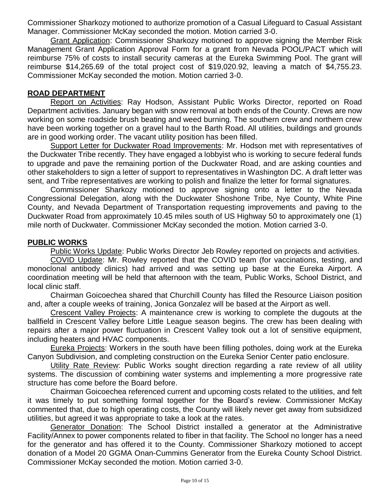Commissioner Sharkozy motioned to authorize promotion of a Casual Lifeguard to Casual Assistant Manager. Commissioner McKay seconded the motion. Motion carried 3-0.

Grant Application: Commissioner Sharkozy motioned to approve signing the Member Risk Management Grant Application Approval Form for a grant from Nevada POOL/PACT which will reimburse 75% of costs to install security cameras at the Eureka Swimming Pool. The grant will reimburse \$14,265.69 of the total project cost of \$19,020.92, leaving a match of \$4,755.23. Commissioner McKay seconded the motion. Motion carried 3-0.

#### **ROAD DEPARTMENT**

Report on Activities: Ray Hodson, Assistant Public Works Director, reported on Road Department activities. January began with snow removal at both ends of the County. Crews are now working on some roadside brush beating and weed burning. The southern crew and northern crew have been working together on a gravel haul to the Barth Road. All utilities, buildings and grounds are in good working order. The vacant utility position has been filled.

Support Letter for Duckwater Road Improvements: Mr. Hodson met with representatives of the Duckwater Tribe recently. They have engaged a lobbyist who is working to secure federal funds to upgrade and pave the remaining portion of the Duckwater Road, and are asking counties and other stakeholders to sign a letter of support to representatives in Washington DC. A draft letter was sent, and Tribe representatives are working to polish and finalize the letter for formal signatures.

Commissioner Sharkozy motioned to approve signing onto a letter to the Nevada Congressional Delegation, along with the Duckwater Shoshone Tribe, Nye County, White Pine County, and Nevada Department of Transportation requesting improvements and paving to the Duckwater Road from approximately 10.45 miles south of US Highway 50 to approximately one (1) mile north of Duckwater. Commissioner McKay seconded the motion. Motion carried 3-0.

#### **PUBLIC WORKS**

Public Works Update: Public Works Director Jeb Rowley reported on projects and activities.

COVID Update: Mr. Rowley reported that the COVID team (for vaccinations, testing, and monoclonal antibody clinics) had arrived and was setting up base at the Eureka Airport. A coordination meeting will be held that afternoon with the team, Public Works, School District, and local clinic staff.

Chairman Goicoechea shared that Churchill County has filled the Resource Liaison position and, after a couple weeks of training, Jonica Gonzalez will be based at the Airport as well.

Crescent Valley Projects: A maintenance crew is working to complete the dugouts at the ballfield in Crescent Valley before Little League season begins. The crew has been dealing with repairs after a major power fluctuation in Crescent Valley took out a lot of sensitive equipment, including heaters and HVAC components.

Eureka Projects: Workers in the south have been filling potholes, doing work at the Eureka Canyon Subdivision, and completing construction on the Eureka Senior Center patio enclosure.

Utility Rate Review: Public Works sought direction regarding a rate review of all utility systems. The discussion of combining water systems and implementing a more progressive rate structure has come before the Board before.

Chairman Goicoechea referenced current and upcoming costs related to the utilities, and felt it was timely to put something formal together for the Board's review. Commissioner McKay commented that, due to high operating costs, the County will likely never get away from subsidized utilities, but agreed it was appropriate to take a look at the rates.

Generator Donation: The School District installed a generator at the Administrative Facility/Annex to power components related to fiber in that facility. The School no longer has a need for the generator and has offered it to the County. Commissioner Sharkozy motioned to accept donation of a Model 20 GGMA Onan-Cummins Generator from the Eureka County School District. Commissioner McKay seconded the motion. Motion carried 3-0.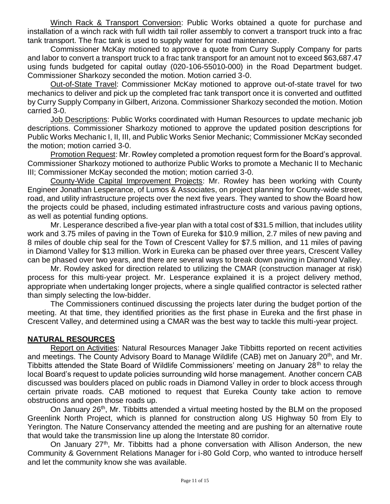Winch Rack & Transport Conversion: Public Works obtained a quote for purchase and installation of a winch rack with full width tail roller assembly to convert a transport truck into a frac tank transport. The frac tank is used to supply water for road maintenance.

Commissioner McKay motioned to approve a quote from Curry Supply Company for parts and labor to convert a transport truck to a frac tank transport for an amount not to exceed \$63,687.47 using funds budgeted for capital outlay (020-106-55010-000) in the Road Department budget. Commissioner Sharkozy seconded the motion. Motion carried 3-0.

Out-of-State Travel: Commissioner McKay motioned to approve out-of-state travel for two mechanics to deliver and pick up the completed frac tank transport once it is converted and outfitted by Curry Supply Company in Gilbert, Arizona. Commissioner Sharkozy seconded the motion. Motion carried 3-0.

Job Descriptions: Public Works coordinated with Human Resources to update mechanic job descriptions. Commissioner Sharkozy motioned to approve the updated position descriptions for Public Works Mechanic I, II, III, and Public Works Senior Mechanic; Commissioner McKay seconded the motion; motion carried 3-0.

Promotion Request: Mr. Rowley completed a promotion request form for the Board's approval. Commissioner Sharkozy motioned to authorize Public Works to promote a Mechanic II to Mechanic III; Commissioner McKay seconded the motion; motion carried 3-0.

County-Wide Capital Improvement Projects: Mr. Rowley has been working with County Engineer Jonathan Lesperance, of Lumos & Associates, on project planning for County-wide street, road, and utility infrastructure projects over the next five years. They wanted to show the Board how the projects could be phased, including estimated infrastructure costs and various paving options, as well as potential funding options.

Mr. Lesperance described a five-year plan with a total cost of \$31.5 million, that includes utility work and 3.75 miles of paving in the Town of Eureka for \$10.9 million, 2.7 miles of new paving and 8 miles of double chip seal for the Town of Crescent Valley for \$7.5 million, and 11 miles of paving in Diamond Valley for \$13 million. Work in Eureka can be phased over three years, Crescent Valley can be phased over two years, and there are several ways to break down paving in Diamond Valley.

Mr. Rowley asked for direction related to utilizing the CMAR (construction manager at risk) process for this multi-year project. Mr. Lesperance explained it is a project delivery method, appropriate when undertaking longer projects, where a single qualified contractor is selected rather than simply selecting the low-bidder.

The Commissioners continued discussing the projects later during the budget portion of the meeting. At that time, they identified priorities as the first phase in Eureka and the first phase in Crescent Valley, and determined using a CMAR was the best way to tackle this multi-year project.

#### **NATURAL RESOURCES**

Report on Activities: Natural Resources Manager Jake Tibbitts reported on recent activities and meetings. The County Advisory Board to Manage Wildlife (CAB) met on January 20<sup>th</sup>, and Mr. Tibbitts attended the State Board of Wildlife Commissioners' meeting on January 28<sup>th</sup> to relay the local Board's request to update policies surrounding wild horse management. Another concern CAB discussed was boulders placed on public roads in Diamond Valley in order to block access through certain private roads. CAB motioned to request that Eureka County take action to remove obstructions and open those roads up.

On January 26<sup>th</sup>, Mr. Tibbitts attended a virtual meeting hosted by the BLM on the proposed Greenlink North Project, which is planned for construction along US Highway 50 from Ely to Yerington. The Nature Conservancy attended the meeting and are pushing for an alternative route that would take the transmission line up along the Interstate 80 corridor.

On January 27<sup>th</sup>, Mr. Tibbitts had a phone conversation with Allison Anderson, the new Community & Government Relations Manager for i-80 Gold Corp, who wanted to introduce herself and let the community know she was available.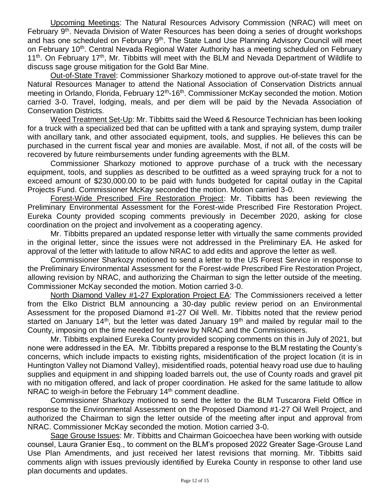Upcoming Meetings: The Natural Resources Advisory Commission (NRAC) will meet on February 9<sup>th</sup>. Nevada Division of Water Resources has been doing a series of drought workshops and has one scheduled on February 9<sup>th</sup>. The State Land Use Planning Advisory Council will meet on February 10<sup>th</sup>. Central Nevada Regional Water Authority has a meeting scheduled on February 11<sup>th</sup>. On February 17<sup>th</sup>, Mr. Tibbitts will meet with the BLM and Nevada Department of Wildlife to discuss sage grouse mitigation for the Gold Bar Mine.

Out-of-State Travel: Commissioner Sharkozy motioned to approve out-of-state travel for the Natural Resources Manager to attend the National Association of Conservation Districts annual meeting in Orlando, Florida, February 12<sup>th</sup>-16<sup>th</sup>. Commissioner McKay seconded the motion. Motion carried 3-0. Travel, lodging, meals, and per diem will be paid by the Nevada Association of Conservation Districts.

Weed Treatment Set-Up: Mr. Tibbitts said the Weed & Resource Technician has been looking for a truck with a specialized bed that can be upfitted with a tank and spraying system, dump trailer with ancillary tank, and other associated equipment, tools, and supplies. He believes this can be purchased in the current fiscal year and monies are available. Most, if not all, of the costs will be recovered by future reimbursements under funding agreements with the BLM.

Commissioner Sharkozy motioned to approve purchase of a truck with the necessary equipment, tools, and supplies as described to be outfitted as a weed spraying truck for a not to exceed amount of \$230,000.00 to be paid with funds budgeted for capital outlay in the Capital Projects Fund. Commissioner McKay seconded the motion. Motion carried 3-0.

Forest-Wide Prescribed Fire Restoration Project: Mr. Tibbitts has been reviewing the Preliminary Environmental Assessment for the Forest-wide Prescribed Fire Restoration Project. Eureka County provided scoping comments previously in December 2020, asking for close coordination on the project and involvement as a cooperating agency.

Mr. Tibbitts prepared an updated response letter with virtually the same comments provided in the original letter, since the issues were not addressed in the Preliminary EA. He asked for approval of the letter with latitude to allow NRAC to add edits and approve the letter as well.

Commissioner Sharkozy motioned to send a letter to the US Forest Service in response to the Preliminary Environmental Assessment for the Forest-wide Prescribed Fire Restoration Project, allowing revision by NRAC, and authorizing the Chairman to sign the letter outside of the meeting. Commissioner McKay seconded the motion. Motion carried 3-0.

North Diamond Valley #1-27 Exploration Project EA: The Commissioners received a letter from the Elko District BLM announcing a 30-day public review period on an Environmental Assessment for the proposed Diamond #1-27 Oil Well. Mr. Tibbitts noted that the review period started on January 14<sup>th</sup>, but the letter was dated January 19<sup>th</sup> and mailed by regular mail to the County, imposing on the time needed for review by NRAC and the Commissioners.

Mr. Tibbitts explained Eureka County provided scoping comments on this in July of 2021, but none were addressed in the EA. Mr. Tibbitts prepared a response to the BLM restating the County's concerns, which include impacts to existing rights, misidentification of the project location (it is in Huntington Valley not Diamond Valley), misidentified roads, potential heavy road use due to hauling supplies and equipment in and shipping loaded barrels out, the use of County roads and gravel pit with no mitigation offered, and lack of proper coordination. He asked for the same latitude to allow NRAC to weigh-in before the February  $14<sup>th</sup>$  comment deadline.

Commissioner Sharkozy motioned to send the letter to the BLM Tuscarora Field Office in response to the Environmental Assessment on the Proposed Diamond #1-27 Oil Well Project, and authorized the Chairman to sign the letter outside of the meeting after input and approval from NRAC. Commissioner McKay seconded the motion. Motion carried 3-0.

Sage Grouse Issues: Mr. Tibbitts and Chairman Goicoechea have been working with outside counsel, Laura Granier Esq., to comment on the BLM's proposed 2022 Greater Sage-Grouse Land Use Plan Amendments, and just received her latest revisions that morning. Mr. Tibbitts said comments align with issues previously identified by Eureka County in response to other land use plan documents and updates.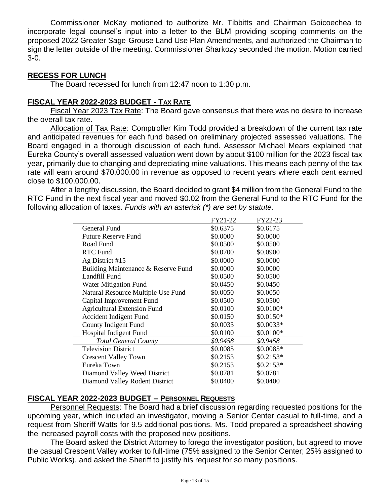Commissioner McKay motioned to authorize Mr. Tibbitts and Chairman Goicoechea to incorporate legal counsel's input into a letter to the BLM providing scoping comments on the proposed 2022 Greater Sage-Grouse Land Use Plan Amendments, and authorized the Chairman to sign the letter outside of the meeting. Commissioner Sharkozy seconded the motion. Motion carried 3-0.

### **RECESS FOR LUNCH**

The Board recessed for lunch from 12:47 noon to 1:30 p.m.

# **FISCAL YEAR 2022-2023 BUDGET - TAX RATE**

Fiscal Year 2023 Tax Rate: The Board gave consensus that there was no desire to increase the overall tax rate.

Allocation of Tax Rate: Comptroller Kim Todd provided a breakdown of the current tax rate and anticipated revenues for each fund based on preliminary projected assessed valuations. The Board engaged in a thorough discussion of each fund. Assessor Michael Mears explained that Eureka County's overall assessed valuation went down by about \$100 million for the 2023 fiscal tax year, primarily due to changing and depreciating mine valuations. This means each penny of the tax rate will earn around \$70,000.00 in revenue as opposed to recent years where each cent earned close to \$100,000.00.

After a lengthy discussion, the Board decided to grant \$4 million from the General Fund to the RTC Fund in the next fiscal year and moved \$0.02 from the General Fund to the RTC Fund for the following allocation of taxes. *Funds with an asterisk (\*) are set by statute.* 

|                                     | FY21-22  | FY22-23    |
|-------------------------------------|----------|------------|
| General Fund                        | \$0.6375 | \$0.6175   |
| <b>Future Reserve Fund</b>          | \$0.0000 | \$0.0000   |
| Road Fund                           | \$0.0500 | \$0.0500   |
| <b>RTC Fund</b>                     | \$0.0700 | \$0.0900   |
| Ag District #15                     | \$0.0000 | \$0.0000   |
| Building Maintenance & Reserve Fund | \$0.0000 | \$0.0000   |
| Landfill Fund                       | \$0.0500 | \$0.0500   |
| Water Mitigation Fund               | \$0.0450 | \$0.0450   |
| Natural Resource Multiple Use Fund  | \$0.0050 | \$0.0050   |
| Capital Improvement Fund            | \$0.0500 | \$0.0500   |
| <b>Agricultural Extension Fund</b>  | \$0.0100 | \$0.0100*  |
| Accident Indigent Fund              | \$0.0150 | $$0.0150*$ |
| County Indigent Fund                | \$0.0033 | $$0.0033*$ |
| <b>Hospital Indigent Fund</b>       | \$0.0100 | \$0.0100*  |
| <b>Total General County</b>         | \$0.9458 | \$0.9458   |
| <b>Television District</b>          | \$0.0085 | $$0.0085*$ |
| <b>Crescent Valley Town</b>         | \$0.2153 | $$0.2153*$ |
| Eureka Town                         | \$0.2153 | $$0.2153*$ |
| Diamond Valley Weed District        | \$0.0781 | \$0.0781   |
| Diamond Valley Rodent District      | \$0.0400 | \$0.0400   |

#### **FISCAL YEAR 2022-2023 BUDGET – PERSONNEL REQUESTS**

Personnel Requests: The Board had a brief discussion regarding requested positions for the upcoming year, which included an investigator, moving a Senior Center casual to full-time, and a request from Sheriff Watts for 9.5 additional positions. Ms. Todd prepared a spreadsheet showing the increased payroll costs with the proposed new positions.

The Board asked the District Attorney to forego the investigator position, but agreed to move the casual Crescent Valley worker to full-time (75% assigned to the Senior Center; 25% assigned to Public Works), and asked the Sheriff to justify his request for so many positions.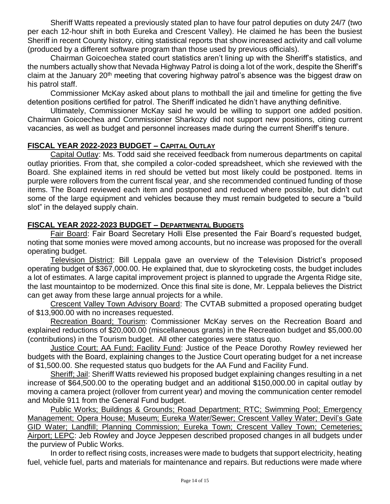Sheriff Watts repeated a previously stated plan to have four patrol deputies on duty 24/7 (two per each 12-hour shift in both Eureka and Crescent Valley). He claimed he has been the busiest Sheriff in recent County history, citing statistical reports that show increased activity and call volume (produced by a different software program than those used by previous officials).

Chairman Goicoechea stated court statistics aren't lining up with the Sheriff's statistics, and the numbers actually show that Nevada Highway Patrol is doing a lot of the work, despite the Sheriff's claim at the January 20<sup>th</sup> meeting that covering highway patrol's absence was the biggest draw on his patrol staff.

Commissioner McKay asked about plans to mothball the jail and timeline for getting the five detention positions certified for patrol. The Sheriff indicated he didn't have anything definitive.

Ultimately, Commissioner McKay said he would be willing to support one added position. Chairman Goicoechea and Commissioner Sharkozy did not support new positions, citing current vacancies, as well as budget and personnel increases made during the current Sheriff's tenure.

# **FISCAL YEAR 2022-2023 BUDGET – CAPITAL OUTLAY**

Capital Outlay: Ms. Todd said she received feedback from numerous departments on capital outlay priorities. From that, she compiled a color-coded spreadsheet, which she reviewed with the Board. She explained items in red should be vetted but most likely could be postponed. Items in purple were rollovers from the current fiscal year, and she recommended continued funding of those items. The Board reviewed each item and postponed and reduced where possible, but didn't cut some of the large equipment and vehicles because they must remain budgeted to secure a "build slot" in the delayed supply chain.

#### **FISCAL YEAR 2022-2023 BUDGET – DEPARTMENTAL BUDGETS**

Fair Board: Fair Board Secretary Holli Else presented the Fair Board's requested budget, noting that some monies were moved among accounts, but no increase was proposed for the overall operating budget.

Television District: Bill Leppala gave an overview of the Television District's proposed operating budget of \$367,000.00. He explained that, due to skyrocketing costs, the budget includes a lot of estimates. A large capital improvement project is planned to upgrade the Argenta Ridge site, the last mountaintop to be modernized. Once this final site is done, Mr. Leppala believes the District can get away from these large annual projects for a while.

Crescent Valley Town Advisory Board: The CVTAB submitted a proposed operating budget of \$13,900.00 with no increases requested.

Recreation Board; Tourism: Commissioner McKay serves on the Recreation Board and explained reductions of \$20,000.00 (miscellaneous grants) in the Recreation budget and \$5,000.00 (contributions) in the Tourism budget. All other categories were status quo.

Justice Court; AA Fund; Facility Fund: Justice of the Peace Dorothy Rowley reviewed her budgets with the Board, explaining changes to the Justice Court operating budget for a net increase of \$1,500.00. She requested status quo budgets for the AA Fund and Facility Fund.

Sheriff; Jail: Sheriff Watts reviewed his proposed budget explaining changes resulting in a net increase of \$64,500.00 to the operating budget and an additional \$150,000.00 in capital outlay by moving a camera project (rollover from current year) and moving the communication center remodel and Mobile 911 from the General Fund budget.

Public Works; Buildings & Grounds; Road Department; RTC; Swimming Pool; Emergency Management; Opera House; Museum; Eureka Water/Sewer; Crescent Valley Water; Devil's Gate GID Water; Landfill; Planning Commission; Eureka Town; Crescent Valley Town; Cemeteries; Airport; LEPC: Jeb Rowley and Joyce Jeppesen described proposed changes in all budgets under the purview of Public Works.

In order to reflect rising costs, increases were made to budgets that support electricity, heating fuel, vehicle fuel, parts and materials for maintenance and repairs. But reductions were made where